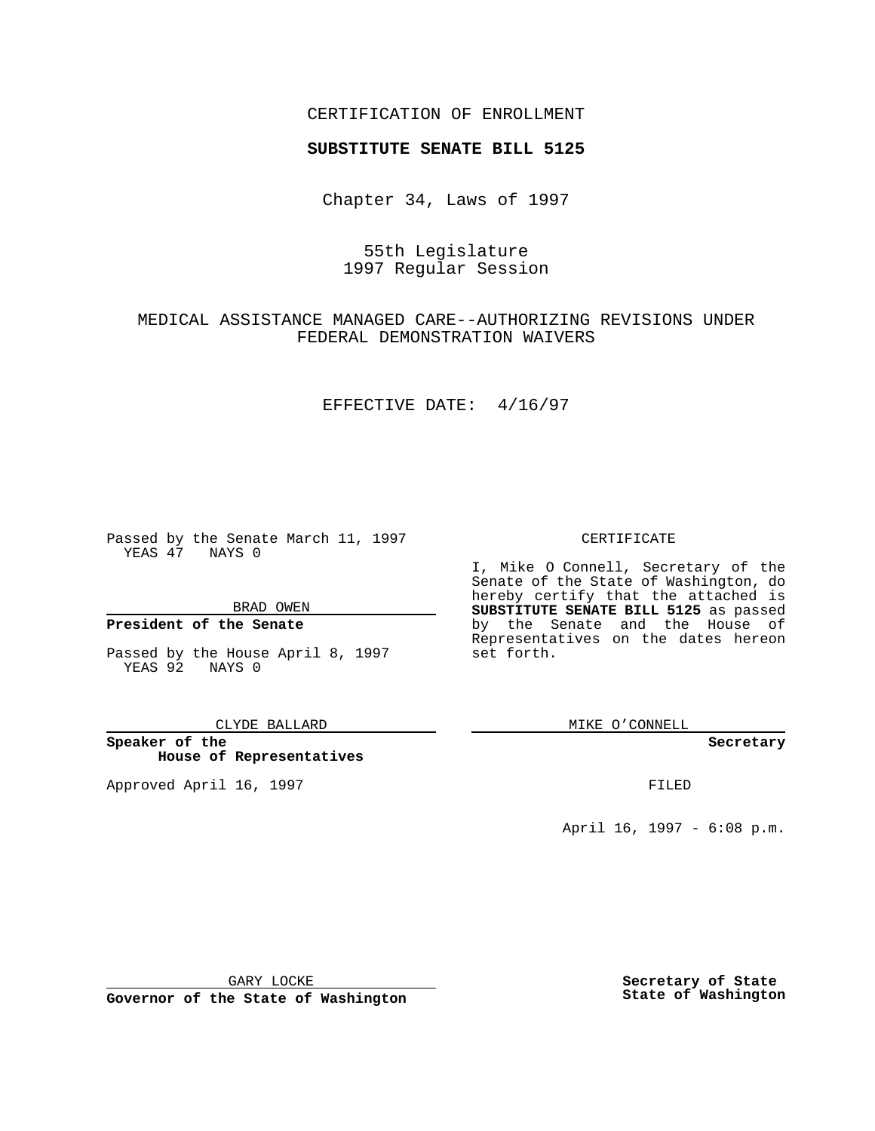## CERTIFICATION OF ENROLLMENT

# **SUBSTITUTE SENATE BILL 5125**

Chapter 34, Laws of 1997

## 55th Legislature 1997 Regular Session

## MEDICAL ASSISTANCE MANAGED CARE--AUTHORIZING REVISIONS UNDER FEDERAL DEMONSTRATION WAIVERS

### EFFECTIVE DATE: 4/16/97

Passed by the Senate March 11, 1997 YEAS 47 NAYS 0

BRAD OWEN

### **President of the Senate**

Passed by the House April 8, 1997 YEAS 92 NAYS 0

#### CLYDE BALLARD

**Speaker of the House of Representatives**

Approved April 16, 1997 **FILED** 

### CERTIFICATE

I, Mike O Connell, Secretary of the Senate of the State of Washington, do hereby certify that the attached is **SUBSTITUTE SENATE BILL 5125** as passed by the Senate and the House of Representatives on the dates hereon set forth.

MIKE O'CONNELL

#### **Secretary**

April 16, 1997 - 6:08 p.m.

GARY LOCKE

**Governor of the State of Washington**

**Secretary of State State of Washington**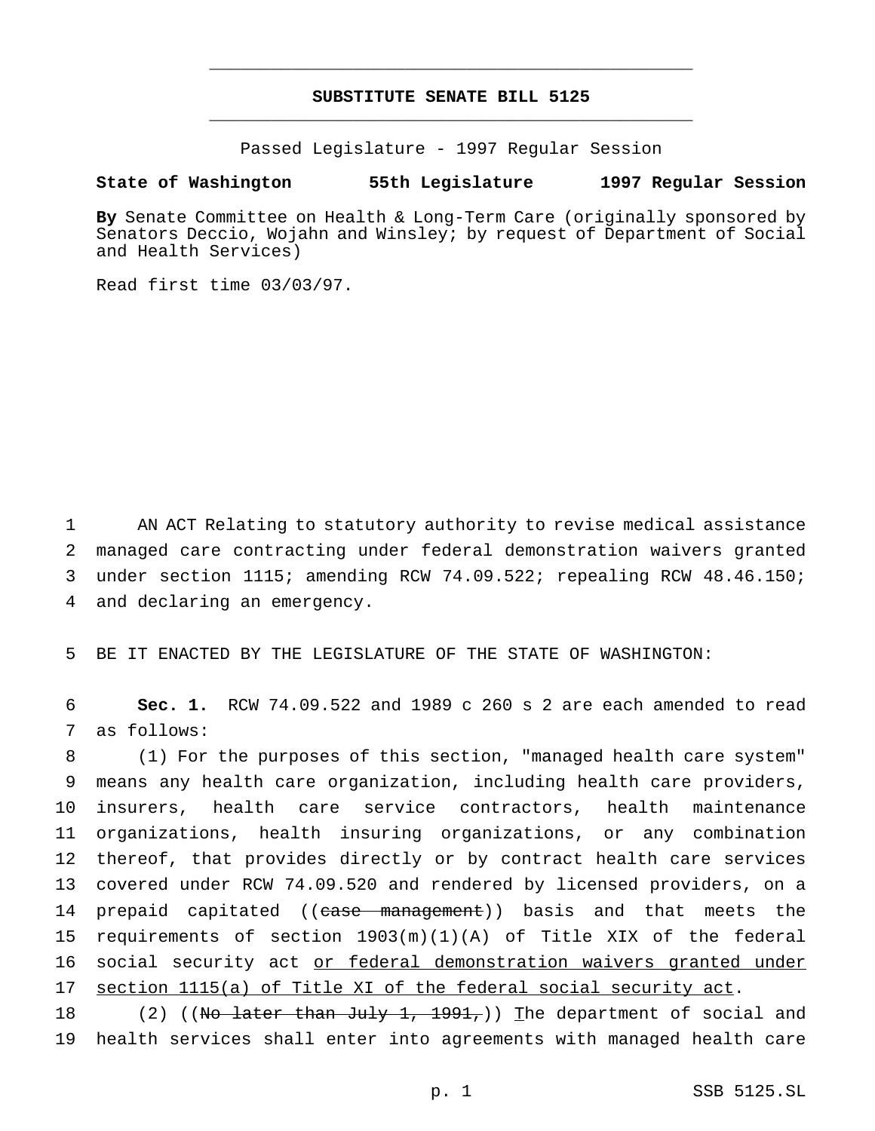## **SUBSTITUTE SENATE BILL 5125** \_\_\_\_\_\_\_\_\_\_\_\_\_\_\_\_\_\_\_\_\_\_\_\_\_\_\_\_\_\_\_\_\_\_\_\_\_\_\_\_\_\_\_\_\_\_\_

\_\_\_\_\_\_\_\_\_\_\_\_\_\_\_\_\_\_\_\_\_\_\_\_\_\_\_\_\_\_\_\_\_\_\_\_\_\_\_\_\_\_\_\_\_\_\_

Passed Legislature - 1997 Regular Session

### **State of Washington 55th Legislature 1997 Regular Session**

**By** Senate Committee on Health & Long-Term Care (originally sponsored by Senators Deccio, Wojahn and Winsley; by request of Department of Social and Health Services)

Read first time 03/03/97.

 AN ACT Relating to statutory authority to revise medical assistance managed care contracting under federal demonstration waivers granted under section 1115; amending RCW 74.09.522; repealing RCW 48.46.150; and declaring an emergency.

5 BE IT ENACTED BY THE LEGISLATURE OF THE STATE OF WASHINGTON:

6 **Sec. 1.** RCW 74.09.522 and 1989 c 260 s 2 are each amended to read 7 as follows:

 (1) For the purposes of this section, "managed health care system" means any health care organization, including health care providers, insurers, health care service contractors, health maintenance organizations, health insuring organizations, or any combination thereof, that provides directly or by contract health care services covered under RCW 74.09.520 and rendered by licensed providers, on a 14 prepaid capitated ((case management)) basis and that meets the requirements of section 1903(m)(1)(A) of Title XIX of the federal 16 social security act or federal demonstration waivers granted under section 1115(a) of Title XI of the federal social security act.

18 (2) ((No later than July 1, 1991,)) The department of social and 19 health services shall enter into agreements with managed health care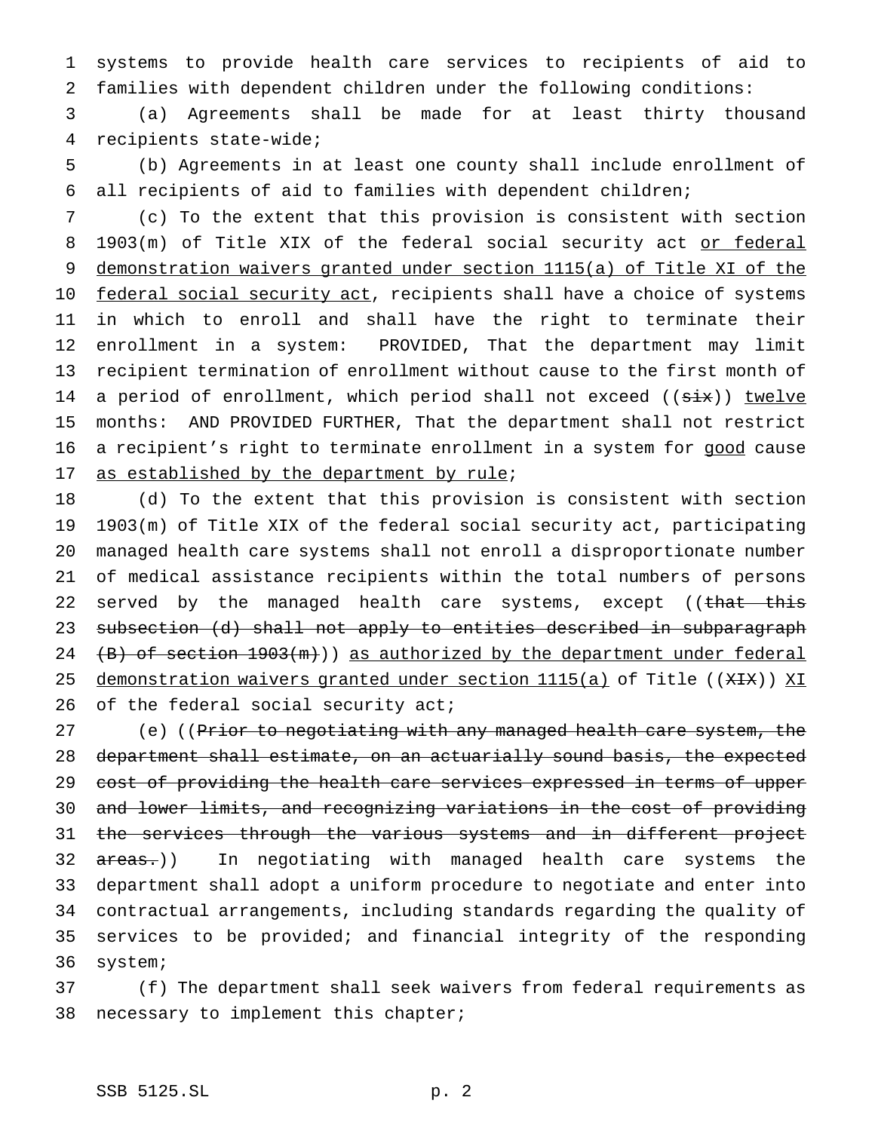systems to provide health care services to recipients of aid to families with dependent children under the following conditions:

 (a) Agreements shall be made for at least thirty thousand recipients state-wide;

 (b) Agreements in at least one county shall include enrollment of all recipients of aid to families with dependent children;

 (c) To the extent that this provision is consistent with section 8 1903(m) of Title XIX of the federal social security act or federal demonstration waivers granted under section 1115(a) of Title XI of the 10 federal social security act, recipients shall have a choice of systems in which to enroll and shall have the right to terminate their enrollment in a system: PROVIDED, That the department may limit recipient termination of enrollment without cause to the first month of 14 a period of enrollment, which period shall not exceed ((six)) twelve months: AND PROVIDED FURTHER, That the department shall not restrict 16 a recipient's right to terminate enrollment in a system for good cause 17 as established by the department by rule;

 (d) To the extent that this provision is consistent with section 1903(m) of Title XIX of the federal social security act, participating managed health care systems shall not enroll a disproportionate number of medical assistance recipients within the total numbers of persons 22 served by the managed health care systems, except ((that this subsection (d) shall not apply to entities described in subparagraph  $(B)$  of section  $1903(m)$ ) as authorized by the department under federal 25 demonstration waivers granted under section 1115(a) of Title ((XIX)) XI 26 of the federal social security act;

27 (e) ((Prior to negotiating with any managed health care system, the department shall estimate, on an actuarially sound basis, the expected 29 cost of providing the health care services expressed in terms of upper and lower limits, and recognizing variations in the cost of providing 31 the services through the various systems and in different project 32 areas.)) In negotiating with managed health care systems the department shall adopt a uniform procedure to negotiate and enter into contractual arrangements, including standards regarding the quality of services to be provided; and financial integrity of the responding system;

 (f) The department shall seek waivers from federal requirements as necessary to implement this chapter;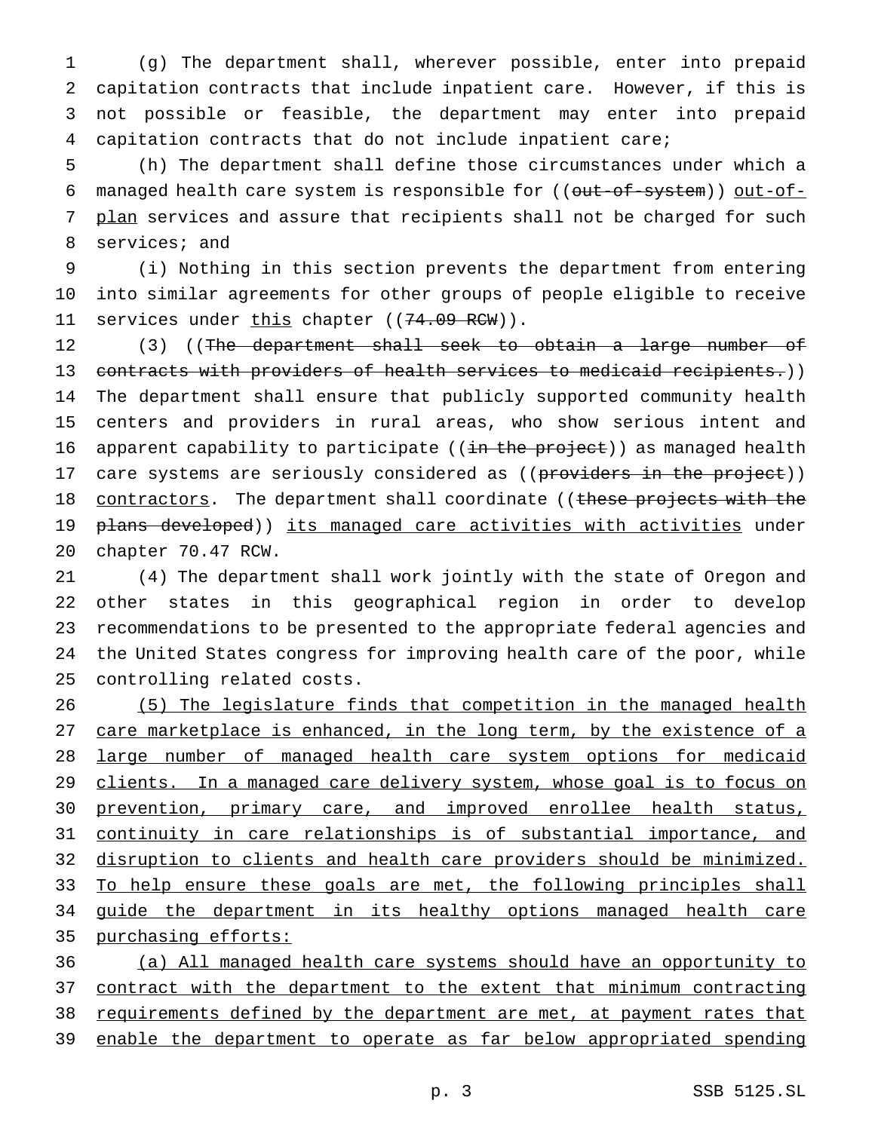(g) The department shall, wherever possible, enter into prepaid capitation contracts that include inpatient care. However, if this is not possible or feasible, the department may enter into prepaid capitation contracts that do not include inpatient care;

5 (h) The department shall define those circumstances under which a 6 managed health care system is responsible for ((out-of-system)) out-of-7 plan services and assure that recipients shall not be charged for such 8 services; and

9 (i) Nothing in this section prevents the department from entering 10 into similar agreements for other groups of people eligible to receive 11 services under this chapter ((74.09 RCW)).

12 (3) ((The department shall seek to obtain a large number of 13 contracts with providers of health services to medicaid recipients.)) 14 The department shall ensure that publicly supported community health 15 centers and providers in rural areas, who show serious intent and 16 apparent capability to participate ((in the project)) as managed health 17 care systems are seriously considered as ((providers in the project)) 18 contractors. The department shall coordinate ((these projects with the 19 plans developed)) its managed care activities with activities under 20 chapter 70.47 RCW.

 (4) The department shall work jointly with the state of Oregon and other states in this geographical region in order to develop recommendations to be presented to the appropriate federal agencies and the United States congress for improving health care of the poor, while controlling related costs.

26 (5) The legislature finds that competition in the managed health 27 care marketplace is enhanced, in the long term, by the existence of a 28 large number of managed health care system options for medicaid 29 clients. In a managed care delivery system, whose goal is to focus on 30 prevention, primary care, and improved enrollee health status, 31 continuity in care relationships is of substantial importance, and 32 disruption to clients and health care providers should be minimized. 33 To help ensure these goals are met, the following principles shall 34 guide the department in its healthy options managed health care 35 purchasing efforts:

36 (a) All managed health care systems should have an opportunity to 37 contract with the department to the extent that minimum contracting 38 requirements defined by the department are met, at payment rates that 39 enable the department to operate as far below appropriated spending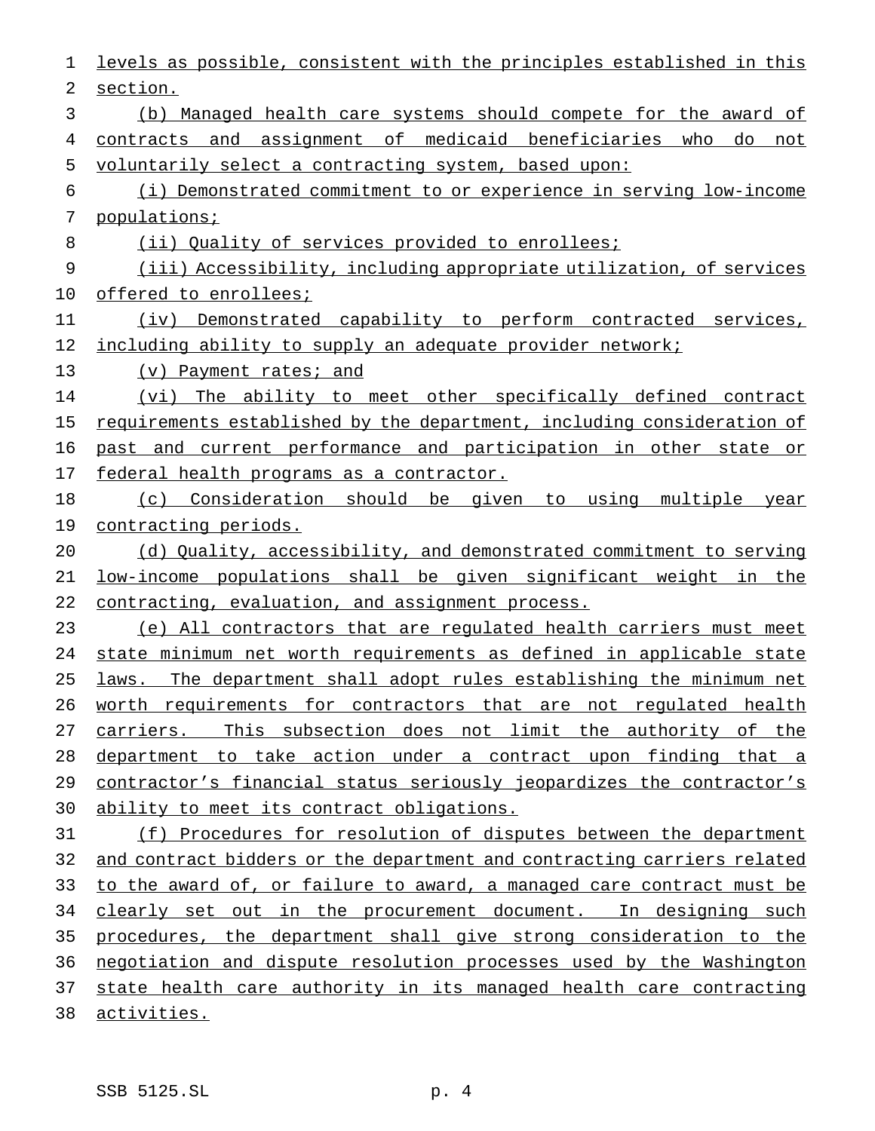levels as possible, consistent with the principles established in this section. (b) Managed health care systems should compete for the award of contracts and assignment of medicaid beneficiaries who do not voluntarily select a contracting system, based upon: (i) Demonstrated commitment to or experience in serving low-income populations; 8 (ii) Quality of services provided to enrollees; (iii) Accessibility, including appropriate utilization, of services 10 offered to enrollees; (iv) Demonstrated capability to perform contracted services, 12 including ability to supply an adequate provider network; 13 (v) Payment rates; and (vi) The ability to meet other specifically defined contract 15 requirements established by the department, including consideration of past and current performance and participation in other state or 17 federal health programs as a contractor. (c) Consideration should be given to using multiple year contracting periods. (d) Quality, accessibility, and demonstrated commitment to serving low-income populations shall be given significant weight in the contracting, evaluation, and assignment process. (e) All contractors that are regulated health carriers must meet state minimum net worth requirements as defined in applicable state laws. The department shall adopt rules establishing the minimum net worth requirements for contractors that are not regulated health 27 carriers. This subsection does not limit the authority of the department to take action under a contract upon finding that a 29 contractor's financial status seriously jeopardizes the contractor's ability to meet its contract obligations. (f) Procedures for resolution of disputes between the department and contract bidders or the department and contracting carriers related to the award of, or failure to award, a managed care contract must be 34 clearly set out in the procurement document. In designing such procedures, the department shall give strong consideration to the negotiation and dispute resolution processes used by the Washington 37 state health care authority in its managed health care contracting activities.